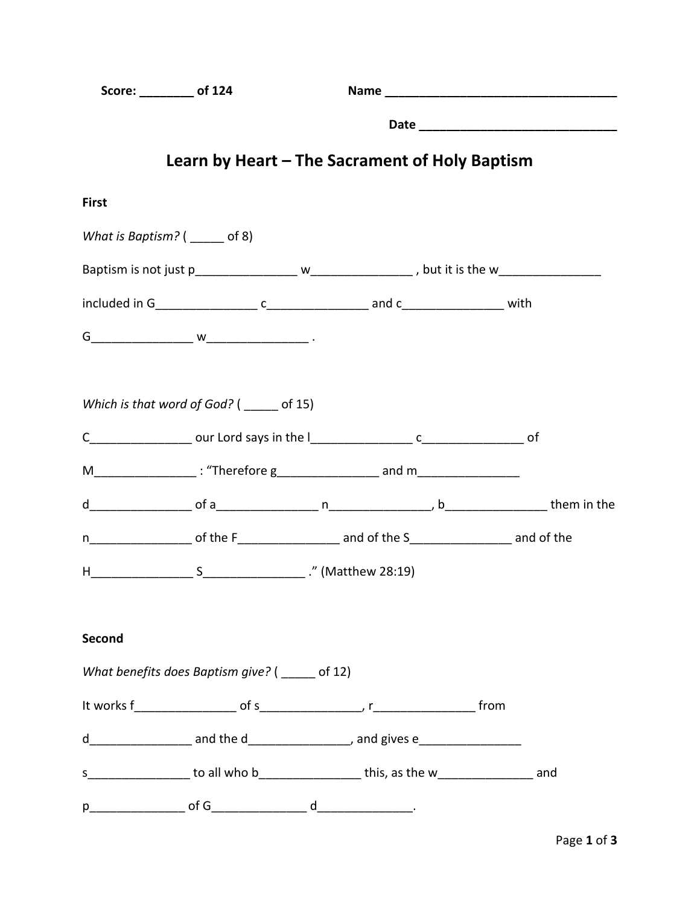| Score: ________ of 124            |                                                 |                                                                                             |  |  |  |  |  |
|-----------------------------------|-------------------------------------------------|---------------------------------------------------------------------------------------------|--|--|--|--|--|
|                                   |                                                 |                                                                                             |  |  |  |  |  |
|                                   |                                                 | Learn by Heart – The Sacrament of Holy Baptism                                              |  |  |  |  |  |
| <b>First</b>                      |                                                 |                                                                                             |  |  |  |  |  |
| What is Baptism? $($ ______ of 8) |                                                 |                                                                                             |  |  |  |  |  |
|                                   |                                                 |                                                                                             |  |  |  |  |  |
|                                   |                                                 |                                                                                             |  |  |  |  |  |
|                                   |                                                 |                                                                                             |  |  |  |  |  |
|                                   | Which is that word of God? ( of 15)             |                                                                                             |  |  |  |  |  |
|                                   |                                                 |                                                                                             |  |  |  |  |  |
|                                   |                                                 | M___________________: "Therefore g____________________ and m____________________            |  |  |  |  |  |
|                                   |                                                 |                                                                                             |  |  |  |  |  |
|                                   |                                                 |                                                                                             |  |  |  |  |  |
|                                   |                                                 |                                                                                             |  |  |  |  |  |
| Second                            |                                                 |                                                                                             |  |  |  |  |  |
|                                   | What benefits does Baptism give? ( _____ of 12) |                                                                                             |  |  |  |  |  |
|                                   |                                                 |                                                                                             |  |  |  |  |  |
|                                   |                                                 |                                                                                             |  |  |  |  |  |
|                                   |                                                 | s___________________ to all who b____________________this, as the w____________________ and |  |  |  |  |  |
|                                   |                                                 |                                                                                             |  |  |  |  |  |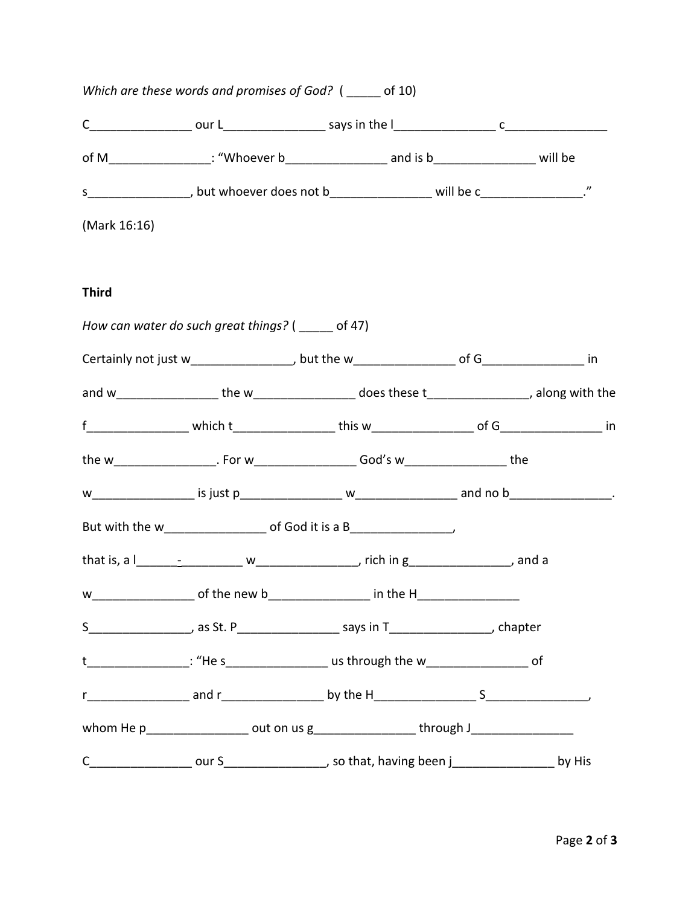|              | Which are these words and promises of God? ( _____ of 10) |                                                                                                   |  |
|--------------|-----------------------------------------------------------|---------------------------------------------------------------------------------------------------|--|
|              |                                                           |                                                                                                   |  |
|              |                                                           | of M_________________: "Whoever b____________________ and is b__________________ will be          |  |
|              |                                                           | s___________________, but whoever does not b____________________ will be c__________________."    |  |
| (Mark 16:16) |                                                           |                                                                                                   |  |
| <b>Third</b> |                                                           |                                                                                                   |  |
|              | How can water do such great things? ( _____ of 47)        |                                                                                                   |  |
|              |                                                           |                                                                                                   |  |
|              |                                                           | and w___________________the w_________________does these t__________________, along with the      |  |
|              |                                                           |                                                                                                   |  |
|              |                                                           | the w_____________________. For w______________________God's w_____________________the            |  |
|              |                                                           |                                                                                                   |  |
|              |                                                           | But with the w_______________________ of God it is a B__________________________                  |  |
|              |                                                           |                                                                                                   |  |
|              |                                                           |                                                                                                   |  |
|              |                                                           | S___________________, as St. P____________________ says in T___________________, chapter          |  |
|              |                                                           | t__________________: "He s_____________________ us through the w_____________________ of          |  |
|              |                                                           |                                                                                                   |  |
|              |                                                           | whom He p___________________ out on us g___________________through J_____________                 |  |
|              |                                                           | C___________________ our S____________________, so that, having been j____________________ by His |  |